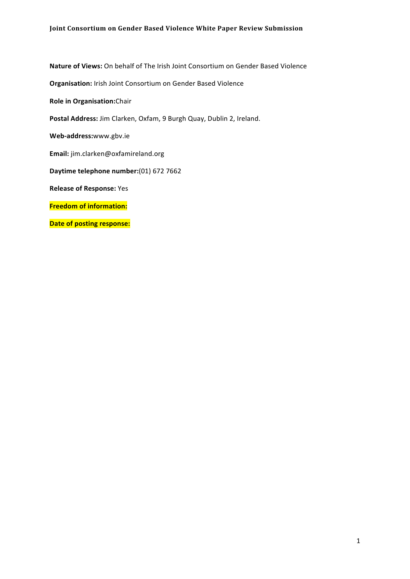Nature of Views: On behalf of The Irish Joint Consortium on Gender Based Violence

**Organisation:** Irish Joint
Consortium
on
Gender
Based
Violence

**Role
in
Organisation:**Chair

Postal Address: Jim Clarken, Oxfam, 9 Burgh Quay, Dublin 2, Ireland.

**Web‐address:**www.gbv.ie

**Email:** jim.clarken@oxfamireland.org

**Daytime
telephone
number:**(01)
672
7662

**Release
of
Response:** Yes

**Freedom
of
information:**

**Date of posting response:**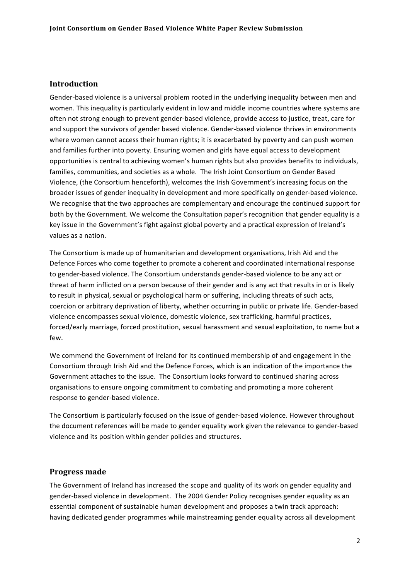# **Introduction**

Gender-based violence is a universal problem rooted in the underlying inequality between men and women. This inequality is particularly evident in low and middle income countries where systems are often
not
strong
enough
to
prevent
gender‐based
violence,
provide
access
to
justice,
treat,
care
for and
support
the
survivors
of
gender
based
violence.
Gender‐based
violence
thrives
in
environments where women cannot access their human rights; it is exacerbated by poverty and can push women and
families
further
into
poverty.
Ensuring
women
and
girls
have
equal
access
to
development opportunities
is
central
to
achieving
women's
human
rights
but
also
provides
benefits
to
individuals, families, communities, and societies as a whole. The Irish Joint Consortium on Gender Based Violence, (the Consortium henceforth), welcomes the Irish Government's increasing focus on the broader
issues
of
gender
inequality
in
development
and
more
specifically
on
gender‐based
violence. We recognise that the two approaches are complementary and encourage the continued support for both by the Government. We welcome the Consultation paper's recognition that gender equality is a key issue in the Government's fight against global poverty and a practical expression of Ireland's values
as
a
nation.

The Consortium is made up of humanitarian and development organisations, Irish Aid and the Defence
Forces
who
come
together
to
promote
a
coherent
and
coordinated
international
response to gender-based violence. The Consortium understands gender-based violence to be any act or threat of harm inflicted on a person because of their gender and is any act that results in or is likely to result in physical, sexual or psychological harm or suffering, including threats of such acts, coercion or arbitrary deprivation of liberty, whether occurring in public or private life. Gender-based violence
encompasses
sexual
violence,
domestic
violence,
sex
trafficking,
harmful
practices, forced/early marriage, forced prostitution, sexual harassment and sexual exploitation, to name but a few.

We commend the Government of Ireland for its continued membership of and engagement in the Consortium through Irish Aid and the Defence Forces, which is an indication of the importance the Government attaches to the issue. The Consortium looks forward to continued sharing across organisations
to
ensure
ongoing
commitment
to
combating
and
promoting
a
more
coherent response
to
gender‐based
violence.

The Consortium is particularly focused on the issue of gender-based violence. However throughout the
document
references
will
be
made
to
gender
equality
work
given
the
relevance
to
gender‐based violence
and
its
position
within
gender
policies
and
structures.

# **Progress
made**

The Government of Ireland has increased the scope and quality of its work on gender equality and gender-based violence in development. The 2004 Gender Policy recognises gender equality as an essential component of sustainable human development and proposes a twin track approach: having
dedicated
gender
programmes
while
mainstreaming
gender
equality
across
all
development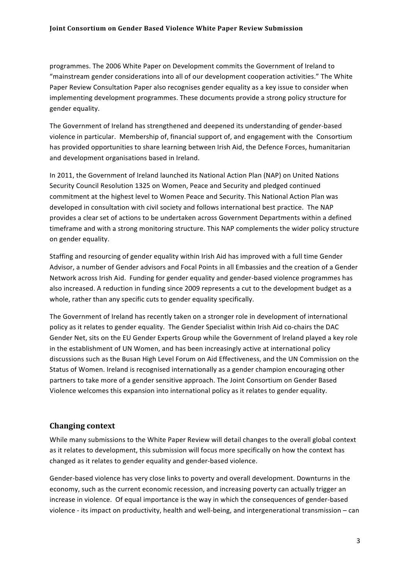programmes.
The
2006
White
Paper
on
Development
commits
the
Government
of
Ireland
to "mainstream gender considerations into all of our development cooperation activities." The White Paper Review Consultation Paper also recognises gender equality as a key issue to consider when implementing development programmes. These documents provide a strong policy structure for gender
equality.

The
Government
of
Ireland
has
strengthened
and
deepened
its
understanding
of
gender‐based violence in particular. Membership of, financial support of, and engagement with the Consortium has provided opportunities to share learning between Irish Aid, the Defence Forces, humanitarian and
development
organisations
based
in
Ireland.

In 2011, the Government of Ireland launched its National Action Plan (NAP) on United Nations Security
Council
Resolution
1325
on
Women,
Peace
and
Security
and
pledged
continued commitment
at
the
highest
level
to
Women
Peace
and
Security.
This
National
Action
Plan
was developed in consultation with civil society and follows international best practice. The NAP provides
a
clear
set
of
actions
to
be
undertaken
across
Government
Departments
within
a
defined timeframe and with a strong monitoring structure. This NAP complements the wider policy structure on
gender
equality.

Staffing and resourcing of gender equality within Irish Aid has improved with a full time Gender Advisor, a number of Gender advisors and Focal Points in all Embassies and the creation of a Gender Network
across
Irish
Aid.

Funding
for
gender
equality
and
gender‐based
violence
programmes
has also increased. A reduction in funding since 2009 represents a cut to the development budget as a whole, rather than any specific cuts to gender equality specifically.

The Government of Ireland has recently taken on a stronger role in development of international policy as it relates to gender equality. The Gender Specialist within Irish Aid co-chairs the DAC Gender Net, sits on the EU Gender Experts Group while the Government of Ireland played a key role in the establishment of UN Women, and has been increasingly active at international policy discussions such as the Busan High Level Forum on Aid Effectiveness, and the UN Commission on the Status of Women. Ireland is recognised internationally as a gender champion encouraging other partners
to
take
more
of
a
gender
sensitive
approach.
The
Joint
Consortium
on
Gender
Based Violence welcomes this expansion into international policy as it relates to gender equality.

# **Changing
context**

While many submissions to the White Paper Review will detail changes to the overall global context as it relates to development, this submission will focus more specifically on how the context has changed
as
it
relates
to
gender
equality
and
gender‐based
violence.

Gender-based violence has very close links to poverty and overall development. Downturns in the economy, such as the current economic recession, and increasing poverty can actually trigger an increase in violence. Of equal importance is the way in which the consequences of gender-based violence - its impact on productivity, health and well-being, and intergenerational transmission - can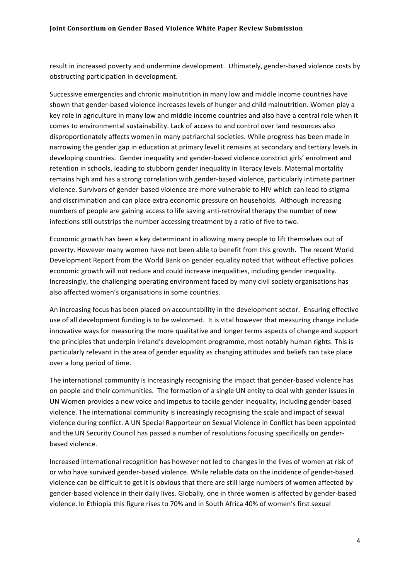result in increased poverty and undermine development. Ultimately, gender-based violence costs by obstructing
participation
in
development.

Successive emergencies and chronic malnutrition in many low and middle income countries have shown that gender-based violence increases levels of hunger and child malnutrition. Women play a key role in agriculture in many low and middle income countries and also have a central role when it comes
to
environmental
sustainability.
Lack
of
access
to
and
control
over
land
resources
also disproportionately
affects
women
in
many
patriarchal
societies.
While
progress
has
been
made
in narrowing the gender gap in education at primary level it remains at secondary and tertiary levels in developing countries. Gender inequality and gender-based violence constrict girls' enrolment and retention in schools, leading to stubborn gender inequality in literacy levels. Maternal mortality remains high and has a strong correlation with gender-based violence, particularly intimate partner violence. Survivors of gender-based violence are more vulnerable to HIV which can lead to stigma and discrimination and can place extra economic pressure on households. Although increasing numbers of people are gaining access to life saving anti-retroviral therapy the number of new infections still outstrips the number accessing treatment by a ratio of five to two.

Economic growth has been a key determinant in allowing many people to lift themselves out of poverty. However many women have not been able to benefit from this growth. The recent World Development Report from the World Bank on gender equality noted that without effective policies economic growth will not reduce and could increase inequalities, including gender inequality. Increasingly,
the
challenging
operating
environment
faced
by
many
civil
society
organisations
has also
affected
women's
organisations in
some
countries.

An
increasing
focus
has
been
placed
on
accountability
in
the
development
sector.

Ensuring
effective use of all development funding is to be welcomed. It is vital however that measuring change include innovative ways for measuring the more qualitative and longer terms aspects of change and support the principles that underpin Ireland's development programme, most notably human rights. This is particularly relevant in the area of gender equality as changing attitudes and beliefs can take place over
a
long
period
of
time.

The international community is increasingly recognising the impact that gender-based violence has on people and their communities. The formation of a single UN entity to deal with gender issues in UN
Women
provides
a
new
voice
and
impetus
to
tackle
gender
inequality,
including
gender‐based violence. The international community is increasingly recognising the scale and impact of sexual violence
during
conflict.
A
UN
Special
Rapporteur
on
Sexual
Violence
in
Conflict
has
been
appointed and the UN Security Council has passed a number of resolutions focusing specifically on genderbased
violence.

Increased international recognition has however not led to changes in the lives of women at risk of or
who
have
survived
gender‐based
violence.
While
reliable
data
on
the
incidence
of
gender‐based violence can be difficult to get it is obvious that there are still large numbers of women affected by gender-based violence in their daily lives. Globally, one in three women is affected by gender-based violence. In Ethiopia this figure rises to 70% and in South Africa 40% of women's first sexual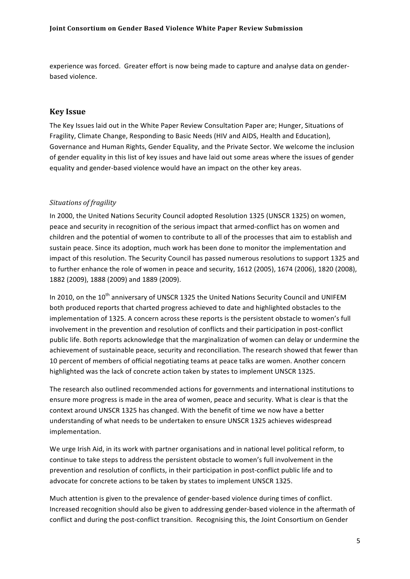experience was forced. Greater effort is now being made to capture and analyse data on genderbased
violence.

# **Key
Issue**

The Key Issues laid out in the White Paper Review Consultation Paper are; Hunger, Situations of Fragility, Climate Change, Responding to Basic Needs (HIV and AIDS, Health and Education), Governance and Human Rights, Gender Equality, and the Private Sector. We welcome the inclusion of gender equality in this list of key issues and have laid out some areas where the issues of gender equality and gender-based violence would have an impact on the other key areas.

#### *Situations
of
fragility*

In 2000, the United Nations Security Council adopted Resolution 1325 (UNSCR 1325) on women, peace and security in recognition of the serious impact that armed-conflict has on women and children
and
the
potential
of
women
to
contribute
to
all
of
the
processes
that
aim
to
establish
and sustain peace. Since its adoption, much work has been done to monitor the implementation and impact of this resolution. The Security Council has passed numerous resolutions to support 1325 and to further enhance the role of women in peace and security, 1612 (2005), 1674 (2006), 1820 (2008), 1882
(2009),
1888
(2009)
and
1889
(2009).

In 2010, on the 10<sup>th</sup> anniversary of UNSCR 1325 the United Nations Security Council and UNIFEM both produced reports that charted progress achieved to date and highlighted obstacles to the implementation of 1325. A concern across these reports is the persistent obstacle to women's full involvement in the prevention and resolution of conflicts and their participation in post-conflict public life. Both reports acknowledge that the marginalization of women can delay or undermine the achievement of sustainable peace, security and reconciliation. The research showed that fewer than 10 percent of members of official negotiating teams at peace talks are women. Another concern highlighted
was
the
lack
of
concrete
action
taken
by
states
to
implement
UNSCR
1325.

The
research
also
outlined
recommended
actions
for
governments
and
international
institutions
to ensure more progress is made in the area of women, peace and security. What is clear is that the context
around
UNSCR
1325
has
changed.
With
the
benefit
of
time
we
now
have
a
better understanding
of
what
needs
to
be
undertaken
to
ensure
UNSCR
1325
achieves
widespread implementation.

We urge Irish Aid, in its work with partner organisations and in national level political reform, to continue to take steps to address the persistent obstacle to women's full involvement in the prevention and resolution of conflicts, in their participation in post-conflict public life and to advocate
for
concrete
actions
to
be
taken
by
states
to
implement
UNSCR
1325.

Much attention is given to the prevalence of gender-based violence during times of conflict. Increased recognition should also be given to addressing gender-based violence in the aftermath of conflict and during the post-conflict transition. Recognising this, the Joint Consortium on Gender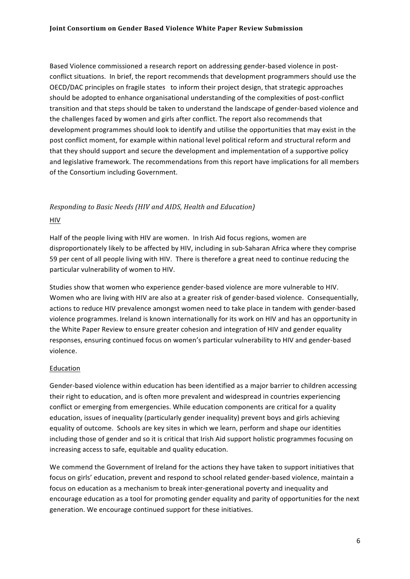Based Violence commissioned a research report on addressing gender-based violence in postconflict
situations.

In
brief,
the
report
recommends
that
development
programmers
should
use
the OECD/DAC principles on fragile states to inform their project design, that strategic approaches should be adopted to enhance organisational understanding of the complexities of post-conflict transition
and
that
steps
should
be
taken
to
understand
the
landscape
of
gender‐based
violence
and the
challenges
faced
by
women
and
girls
after
conflict.
The
report
also
recommends
that development programmes should look to identify and utilise the opportunities that may exist in the post
conflict
moment,
for
example
within
national
level
political
reform
and
structural
reform
and that
they
should
support
and
secure
the
development
and
implementation
of
a
supportive
policy and legislative framework. The recommendations from this report have implications for all members of
the
Consortium
including
Government.

# *Responding
to
Basic
Needs
(HIV
and
AIDS,
Health
and
Education)* HIV

Half of the people living with HIV are women. In Irish Aid focus regions, women are disproportionately likely to be affected by HIV, including in sub-Saharan Africa where they comprise 59 per cent of all people living with HIV. There is therefore a great need to continue reducing the particular
vulnerability
of
women
to
HIV.

Studies show that women who experience gender-based violence are more vulnerable to HIV. Women who are living with HIV are also at a greater risk of gender-based violence. Consequentially, actions
to
reduce
HIV
prevalence
amongst
women
need
to
take
place
in
tandem
with
gender‐based violence programmes. Ireland is known internationally for its work on HIV and has an opportunity in the White Paper Review to ensure greater cohesion and integration of HIV and gender equality responses,
ensuring
continued
focus
on
women's
particular
vulnerability
to
HIV
and
gender‐based violence.

#### **Education**

Gender-based violence within education has been identified as a major barrier to children accessing their
right
to
education,
and
is
often
more
prevalent
and
widespread
in
countries
experiencing conflict or emerging from emergencies. While education components are critical for a quality education, issues of inequality (particularly gender inequality) prevent boys and girls achieving equality of outcome. Schools are key sites in which we learn, perform and shape our identities including those of gender and so it is critical that Irish Aid support holistic programmes focusing on increasing
access
to
safe,
equitable
and
quality
education.

We commend the Government of Ireland for the actions they have taken to support initiatives that focus on girls' education, prevent and respond to school related gender-based violence, maintain a focus on education as a mechanism to break inter-generational poverty and inequality and encourage
education
as
a
tool
for
promoting
gender
equality
and
parity
of
opportunities
for
the
next generation.
We
encourage
continued
support
for
these
initiatives.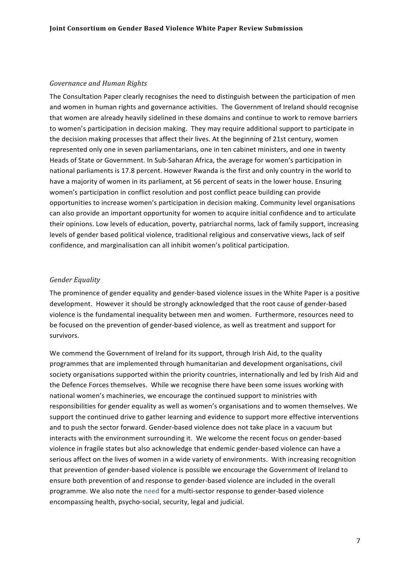#### *Governance
and
Human
Rights*

The Consultation Paper clearly recognises the need to distinguish between the participation of men and women in human rights and governance activities. The Government of Ireland should recognise that
women
are
already
heavily
sidelined
in
these
domains
and
continue
to
work
to
remove
barriers to women's participation in decision making. They may require additional support to participate in the
decision
making
processes
that
affect
their
lives.
At
the
beginning
of
21st
century,
women represented only one in seven parliamentarians, one in ten cabinet ministers, and one in twenty Heads of State or Government. In Sub-Saharan Africa, the average for women's participation in national parliaments is 17.8 percent. However Rwanda is the first and only country in the world to have a majority of women in its parliament, at 56 percent of seats in the lower house. Ensuring women's participation in conflict resolution and post conflict peace building can provide opportunities
to
increase
women's
participation
in
decision
making.
Community
level
organisations can also provide an important opportunity for women to acquire initial confidence and to articulate their
opinions.
Low
levels
of
education,
poverty,
patriarchal
norms,
lack
of
family
support,
increasing levels of gender based political violence, traditional religious and conservative views, lack of self confidence,
and
marginalisation
can
all
inhibit
women's
political
participation.

#### *Gender
Equality*

The prominence of gender equality and gender-based violence issues in the White Paper is a positive development.

However
it
should
be
strongly
acknowledged
that
the
root
cause
of
gender‐based violence
is
the
fundamental
inequality
between
men
and
women.

Furthermore,
resources
need
to be focused on the prevention of gender-based violence, as well as treatment and support for survivors.

We commend the Government of Ireland for its support, through Irish Aid, to the quality programmes
that
are
implemented
through
humanitarian
and
development
organisations,
civil society organisations supported within the priority countries, internationally and led by Irish Aid and the
Defence
Forces
themselves.

While
we
recognise
there
have
been
some
issues
working
with national
women's
machineries,
we
encourage
the
continued
support
to
ministries
with responsibilities
for
gender
equality
as
well
as
women's
organisations
and
to
women
themselves.
We support the continued drive to gather learning and evidence to support more effective interventions and to push the sector forward. Gender-based violence does not take place in a vacuum but interacts with the environment surrounding it. We welcome the recent focus on gender-based violence in fragile states but also acknowledge that endemic gender-based violence can have a serious affect on the lives of women in a wide variety of environments. With increasing recognition that prevention of gender-based violence is possible we encourage the Government of Ireland to ensure
both
prevention
of
and
response
to
gender‐based
violence
are
included
in
the
overall programme. We also note the need for a multi-sector response to gender-based violence encompassing
health,
psycho‐social,
security,
legal
and
judicial.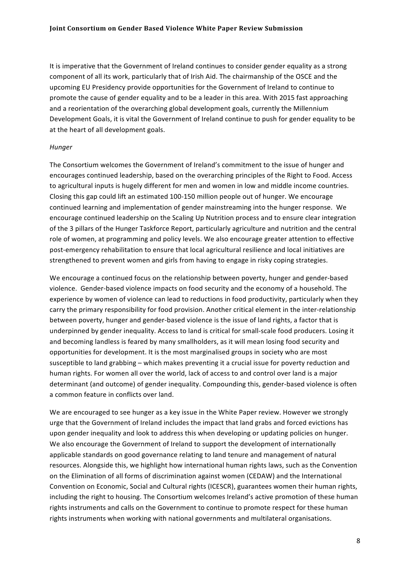It is imperative that the Government of Ireland continues to consider gender equality as a strong component of all its work, particularly that of Irish Aid. The chairmanship of the OSCE and the upcoming EU Presidency provide opportunities for the Government of Ireland to continue to promote
the
cause
of
gender
equality
and
to
be
a
leader
in
this
area.
With
2015
fast
approaching and a reorientation of the overarching global development goals, currently the Millennium Development Goals, it is vital the Government of Ireland continue to push for gender equality to be at
the
heart
of
all
development
goals.

#### *Hunger*

The Consortium welcomes the Government of Ireland's commitment to the issue of hunger and encourages
continued
leadership,
based
on
the
overarching
principles
of
the
Right
to
Food. Access to agricultural inputs is hugely different for men and women in low and middle income countries. Closing
this
gap
could
lift
an
estimated
100‐150
million
people
out
of
hunger.
We
encourage continued
learning
and
implementation
of
gender
mainstreaming
into
the
hunger
response.

We encourage continued leadership on the Scaling Up Nutrition process and to ensure clear integration of
the
3
pillars
of
the
Hunger
Taskforce
Report,
particularly
agriculture
and
nutrition
and
the
central role of women, at programming and policy levels. We also encourage greater attention to effective post-emergency rehabilitation to ensure that local agricultural resilience and local initiatives are strengthened to prevent women and girls from having to engage in risky coping strategies.

We encourage a continued focus on the relationship between poverty, hunger and gender-based violence.

Gender‐based
violence
impacts
on
food
security
and
the
economy
of
a
household. The experience by women of violence can lead to reductions in food productivity, particularly when they carry
the
primary
responsibility
for
food
provision.
Another
critical
element
in
the
inter‐relationship between poverty, hunger and gender-based violence is the issue of land rights, a factor that is underpinned by gender inequality. Access to land is critical for small-scale food producers. Losing it and becoming landless is feared by many smallholders, as it will mean losing food security and opportunities
for
development.
It
is
the
most
marginalised
groups
in
society
who
are
most susceptible to land grabbing – which makes preventing it a crucial issue for poverty reduction and human rights. For women all over the world, lack of access to and control over land is a major determinant (and outcome) of gender inequality. Compounding this, gender-based violence is often a
common
feature
in
conflicts
over
land.

We are encouraged to see hunger as a key issue in the White Paper review. However we strongly urge
that
the
Government
of
Ireland
includes
the
impact
that
land
grabs
and
forced
evictions
has upon gender inequality and look to address this when developing or updating policies on hunger. We also encourage the Government of Ireland to support the development of internationally applicable standards on good governance relating to land tenure and management of natural resources. Alongside this, we highlight how international human rights laws, such as the Convention on
the
Elimination
of
all
forms
of
discrimination
against
women
(CEDAW)
and
the
International Convention on Economic, Social and Cultural rights (ICESCR), guarantees women their human rights, including the right to housing. The Consortium welcomes Ireland's active promotion of these human rights instruments and calls on the Government to continue to promote respect for these human rights
instruments
when
working
with
national
governments
and
multilateral
organisations.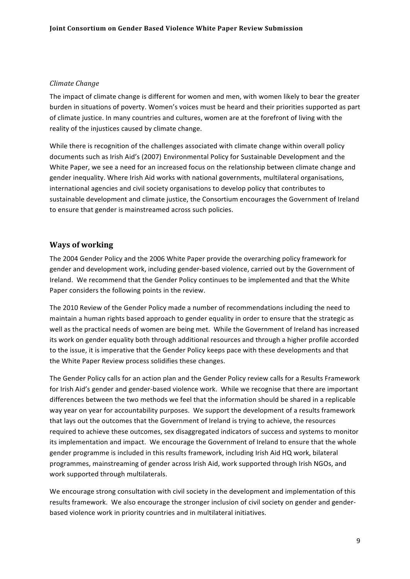#### *Climate
Change*

The impact of climate change is different for women and men, with women likely to bear the greater burden
in
situations
of
poverty. Women's
voices
must
be
heard
and
their
priorities
supported
as
part of climate justice. In many countries and cultures, women are at the forefront of living with the reality of the injustices caused by climate change.

While there is recognition of the challenges associated with climate change within overall policy documents such as Irish Aid's (2007) Environmental Policy for Sustainable Development and the White Paper, we see a need for an increased focus on the relationship between climate change and gender
inequality.
Where
Irish
Aid
works
with
national
governments,
multilateral
organisations, international
agencies
and
civil
society
organisations
to
develop
policy
that
contributes
to sustainable development and climate justice, the Consortium encourages the Government of Ireland to
ensure
that
gender
is
mainstreamed
across
such
policies.

# **Ways
of
working**

The
2004
Gender
Policy
and
the
2006
White
Paper
provide
the
overarching
policy
framework
for gender and development work, including gender-based violence, carried out by the Government of Ireland. We recommend that the Gender Policy continues to be implemented and that the White Paper considers the following points in the review.

The 2010 Review of the Gender Policy made a number of recommendations including the need to maintain a human rights based approach to gender equality in order to ensure that the strategic as well as the practical needs of women are being met. While the Government of Ireland has increased its work on gender equality both through additional resources and through a higher profile accorded to the issue, it is imperative that the Gender Policy keeps pace with these developments and that the
White
Paper
Review
process
solidifies
these
changes.

The Gender Policy calls for an action plan and the Gender Policy review calls for a Results Framework for Irish Aid's gender and gender-based violence work. While we recognise that there are important differences between the two methods we feel that the information should be shared in a replicable way year on year for accountability purposes. We support the development of a results framework that lays out the outcomes that the Government of Ireland is trying to achieve, the resources required to achieve these outcomes, sex disaggregated indicators of success and systems to monitor its implementation and impact. We encourage the Government of Ireland to ensure that the whole gender programme is included in this results framework, including Irish Aid HQ work, bilateral programmes,
mainstreaming
of
gender
across
Irish
Aid,
work
supported
through
Irish
NGOs,
and work
supported
through
multilaterals.

We encourage strong consultation with civil society in the development and implementation of this results framework. We also encourage the stronger inclusion of civil society on gender and genderbased
violence
work
in
priority
countries
and
in
multilateral
initiatives.